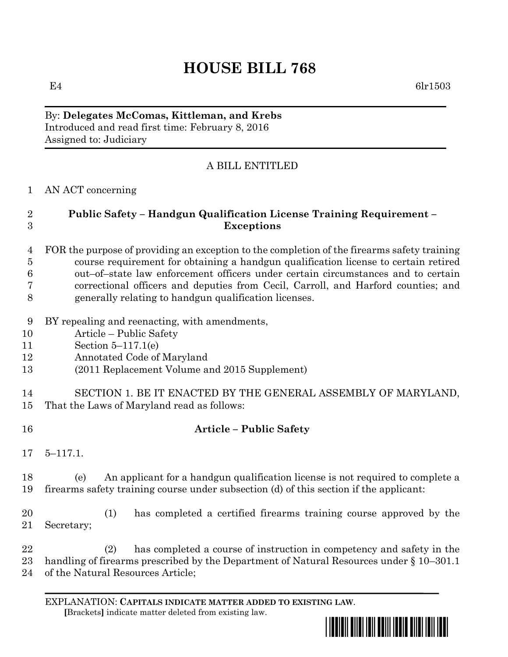## **HOUSE BILL 768**

E4 6lr1503

By: **Delegates McComas, Kittleman, and Krebs** Introduced and read first time: February 8, 2016 Assigned to: Judiciary

## A BILL ENTITLED

AN ACT concerning

## **Public Safety – Handgun Qualification License Training Requirement – Exceptions**

- FOR the purpose of providing an exception to the completion of the firearms safety training course requirement for obtaining a handgun qualification license to certain retired out–of–state law enforcement officers under certain circumstances and to certain correctional officers and deputies from Cecil, Carroll, and Harford counties; and generally relating to handgun qualification licenses.
- BY repealing and reenacting, with amendments,
- Article Public Safety
- Section 5–117.1(e)
- Annotated Code of Maryland
- (2011 Replacement Volume and 2015 Supplement)
- SECTION 1. BE IT ENACTED BY THE GENERAL ASSEMBLY OF MARYLAND, That the Laws of Maryland read as follows:
- **Article – Public Safety**
- 5–117.1.

 (e) An applicant for a handgun qualification license is not required to complete a firearms safety training course under subsection (d) of this section if the applicant:

 (1) has completed a certified firearms training course approved by the Secretary;

 (2) has completed a course of instruction in competency and safety in the handling of firearms prescribed by the Department of Natural Resources under § 10–301.1 of the Natural Resources Article;

EXPLANATION: **CAPITALS INDICATE MATTER ADDED TO EXISTING LAW**.  **[**Brackets**]** indicate matter deleted from existing law.